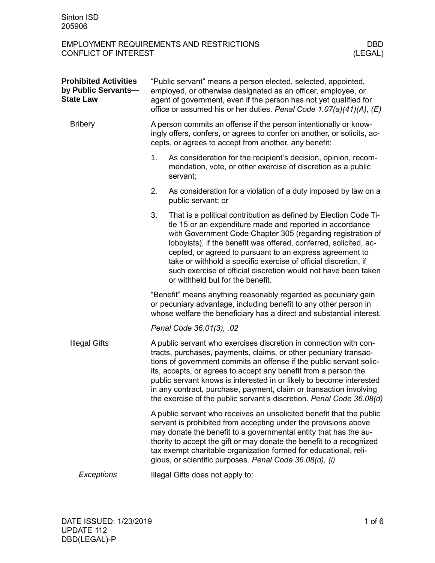| <b>Prohibited Activities</b><br>by Public Servants-<br><b>State Law</b> | "Public servant" means a person elected, selected, appointed,<br>employed, or otherwise designated as an officer, employee, or<br>agent of government, even if the person has not yet qualified for<br>office or assumed his or her duties. Penal Code 1.07(a)(41)(A), (E)                                                                                                                                                                                                                            |                                                                                                                                                                                                                                                                                                                                                                                                                                                                                                       |  |  |
|-------------------------------------------------------------------------|-------------------------------------------------------------------------------------------------------------------------------------------------------------------------------------------------------------------------------------------------------------------------------------------------------------------------------------------------------------------------------------------------------------------------------------------------------------------------------------------------------|-------------------------------------------------------------------------------------------------------------------------------------------------------------------------------------------------------------------------------------------------------------------------------------------------------------------------------------------------------------------------------------------------------------------------------------------------------------------------------------------------------|--|--|
| <b>Bribery</b>                                                          | A person commits an offense if the person intentionally or know-<br>ingly offers, confers, or agrees to confer on another, or solicits, ac-<br>cepts, or agrees to accept from another, any benefit:                                                                                                                                                                                                                                                                                                  |                                                                                                                                                                                                                                                                                                                                                                                                                                                                                                       |  |  |
|                                                                         | 1.                                                                                                                                                                                                                                                                                                                                                                                                                                                                                                    | As consideration for the recipient's decision, opinion, recom-<br>mendation, vote, or other exercise of discretion as a public<br>servant;                                                                                                                                                                                                                                                                                                                                                            |  |  |
|                                                                         | 2.                                                                                                                                                                                                                                                                                                                                                                                                                                                                                                    | As consideration for a violation of a duty imposed by law on a<br>public servant; or                                                                                                                                                                                                                                                                                                                                                                                                                  |  |  |
|                                                                         | 3.                                                                                                                                                                                                                                                                                                                                                                                                                                                                                                    | That is a political contribution as defined by Election Code Ti-<br>tle 15 or an expenditure made and reported in accordance<br>with Government Code Chapter 305 (regarding registration of<br>lobbyists), if the benefit was offered, conferred, solicited, ac-<br>cepted, or agreed to pursuant to an express agreement to<br>take or withhold a specific exercise of official discretion, if<br>such exercise of official discretion would not have been taken<br>or withheld but for the benefit. |  |  |
|                                                                         | "Benefit" means anything reasonably regarded as pecuniary gain<br>or pecuniary advantage, including benefit to any other person in<br>whose welfare the beneficiary has a direct and substantial interest.                                                                                                                                                                                                                                                                                            |                                                                                                                                                                                                                                                                                                                                                                                                                                                                                                       |  |  |
|                                                                         |                                                                                                                                                                                                                                                                                                                                                                                                                                                                                                       | Penal Code 36.01(3), .02                                                                                                                                                                                                                                                                                                                                                                                                                                                                              |  |  |
| <b>Illegal Gifts</b>                                                    | A public servant who exercises discretion in connection with con-<br>tracts, purchases, payments, claims, or other pecuniary transac-<br>tions of government commits an offense if the public servant solic-<br>its, accepts, or agrees to accept any benefit from a person the<br>public servant knows is interested in or likely to become interested<br>in any contract, purchase, payment, claim or transaction involving<br>the exercise of the public servant's discretion. Penal Code 36.08(d) |                                                                                                                                                                                                                                                                                                                                                                                                                                                                                                       |  |  |
|                                                                         |                                                                                                                                                                                                                                                                                                                                                                                                                                                                                                       | A public servant who receives an unsolicited benefit that the public<br>servant is prohibited from accepting under the provisions above<br>may donate the benefit to a governmental entity that has the au-<br>thority to accept the gift or may donate the benefit to a recognized<br>tax exempt charitable organization formed for educational, reli-<br>gious, or scientific purposes. Penal Code 36.08(d), (i)                                                                                    |  |  |
| Exceptions                                                              | Illegal Gifts does not apply to:                                                                                                                                                                                                                                                                                                                                                                                                                                                                      |                                                                                                                                                                                                                                                                                                                                                                                                                                                                                                       |  |  |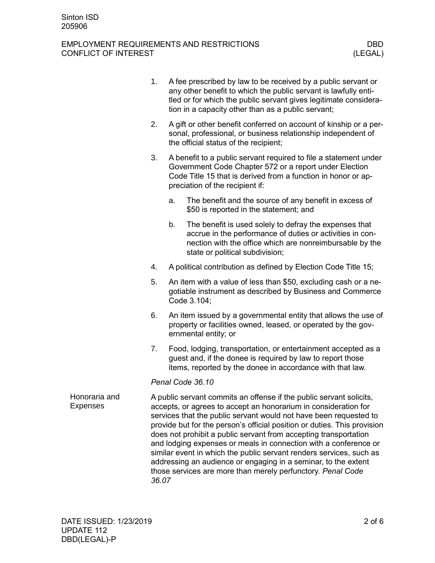|                                  | 1.                                                                                                                                                                                                                                                                                                                                                                                                                                                                                                                                                                                                                                               | A fee prescribed by law to be received by a public servant or<br>any other benefit to which the public servant is lawfully enti-<br>tled or for which the public servant gives legitimate considera-<br>tion in a capacity other than as a public servant; |                                                                                                                                                                                                                                |  |  |
|----------------------------------|--------------------------------------------------------------------------------------------------------------------------------------------------------------------------------------------------------------------------------------------------------------------------------------------------------------------------------------------------------------------------------------------------------------------------------------------------------------------------------------------------------------------------------------------------------------------------------------------------------------------------------------------------|------------------------------------------------------------------------------------------------------------------------------------------------------------------------------------------------------------------------------------------------------------|--------------------------------------------------------------------------------------------------------------------------------------------------------------------------------------------------------------------------------|--|--|
|                                  | 2.                                                                                                                                                                                                                                                                                                                                                                                                                                                                                                                                                                                                                                               | A gift or other benefit conferred on account of kinship or a per-<br>sonal, professional, or business relationship independent of<br>the official status of the recipient;                                                                                 |                                                                                                                                                                                                                                |  |  |
|                                  | 3.                                                                                                                                                                                                                                                                                                                                                                                                                                                                                                                                                                                                                                               |                                                                                                                                                                                                                                                            | A benefit to a public servant required to file a statement under<br>Government Code Chapter 572 or a report under Election<br>Code Title 15 that is derived from a function in honor or ap-<br>preciation of the recipient if: |  |  |
|                                  |                                                                                                                                                                                                                                                                                                                                                                                                                                                                                                                                                                                                                                                  | a.                                                                                                                                                                                                                                                         | The benefit and the source of any benefit in excess of<br>\$50 is reported in the statement; and                                                                                                                               |  |  |
|                                  |                                                                                                                                                                                                                                                                                                                                                                                                                                                                                                                                                                                                                                                  | b.                                                                                                                                                                                                                                                         | The benefit is used solely to defray the expenses that<br>accrue in the performance of duties or activities in con-<br>nection with the office which are nonreimbursable by the<br>state or political subdivision;             |  |  |
|                                  | 4.                                                                                                                                                                                                                                                                                                                                                                                                                                                                                                                                                                                                                                               |                                                                                                                                                                                                                                                            | A political contribution as defined by Election Code Title 15;                                                                                                                                                                 |  |  |
|                                  | 5.                                                                                                                                                                                                                                                                                                                                                                                                                                                                                                                                                                                                                                               | An item with a value of less than \$50, excluding cash or a ne-<br>gotiable instrument as described by Business and Commerce<br>Code 3.104;                                                                                                                |                                                                                                                                                                                                                                |  |  |
|                                  | 6.                                                                                                                                                                                                                                                                                                                                                                                                                                                                                                                                                                                                                                               | An item issued by a governmental entity that allows the use of<br>property or facilities owned, leased, or operated by the gov-<br>ernmental entity; or                                                                                                    |                                                                                                                                                                                                                                |  |  |
|                                  | 7.                                                                                                                                                                                                                                                                                                                                                                                                                                                                                                                                                                                                                                               |                                                                                                                                                                                                                                                            | Food, lodging, transportation, or entertainment accepted as a<br>guest and, if the donee is required by law to report those<br>items, reported by the donee in accordance with that law.                                       |  |  |
|                                  |                                                                                                                                                                                                                                                                                                                                                                                                                                                                                                                                                                                                                                                  |                                                                                                                                                                                                                                                            | Penal Code 36.10                                                                                                                                                                                                               |  |  |
| Honoraria and<br><b>Expenses</b> | A public servant commits an offense if the public servant solicits,<br>accepts, or agrees to accept an honorarium in consideration for<br>services that the public servant would not have been requested to<br>provide but for the person's official position or duties. This provision<br>does not prohibit a public servant from accepting transportation<br>and lodging expenses or meals in connection with a conference or<br>similar event in which the public servant renders services, such as<br>addressing an audience or engaging in a seminar, to the extent<br>those services are more than merely perfunctory. Penal Code<br>36.07 |                                                                                                                                                                                                                                                            |                                                                                                                                                                                                                                |  |  |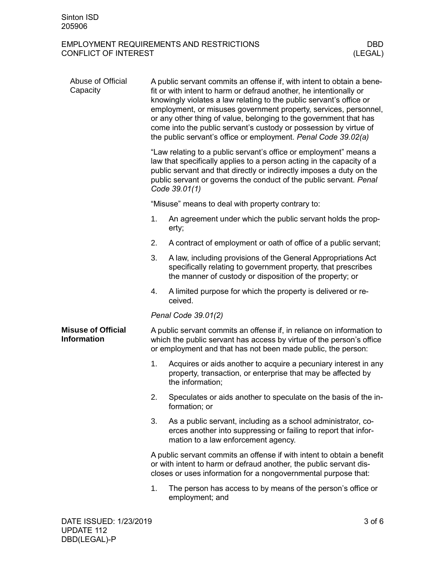| Abuse of Official<br>Capacity                   | A public servant commits an offense if, with intent to obtain a bene-<br>fit or with intent to harm or defraud another, he intentionally or<br>knowingly violates a law relating to the public servant's office or<br>employment, or misuses government property, services, personnel,<br>or any other thing of value, belonging to the government that has<br>come into the public servant's custody or possession by virtue of<br>the public servant's office or employment. Penal Code 39.02(a) |                                                                                                                                                                                                               |  |  |  |
|-------------------------------------------------|----------------------------------------------------------------------------------------------------------------------------------------------------------------------------------------------------------------------------------------------------------------------------------------------------------------------------------------------------------------------------------------------------------------------------------------------------------------------------------------------------|---------------------------------------------------------------------------------------------------------------------------------------------------------------------------------------------------------------|--|--|--|
|                                                 | "Law relating to a public servant's office or employment" means a<br>law that specifically applies to a person acting in the capacity of a<br>public servant and that directly or indirectly imposes a duty on the<br>public servant or governs the conduct of the public servant. Penal<br>Code 39.01(1)                                                                                                                                                                                          |                                                                                                                                                                                                               |  |  |  |
|                                                 |                                                                                                                                                                                                                                                                                                                                                                                                                                                                                                    | "Misuse" means to deal with property contrary to:                                                                                                                                                             |  |  |  |
|                                                 | 1.                                                                                                                                                                                                                                                                                                                                                                                                                                                                                                 | An agreement under which the public servant holds the prop-<br>erty;                                                                                                                                          |  |  |  |
|                                                 | 2.                                                                                                                                                                                                                                                                                                                                                                                                                                                                                                 | A contract of employment or oath of office of a public servant;                                                                                                                                               |  |  |  |
|                                                 | 3.                                                                                                                                                                                                                                                                                                                                                                                                                                                                                                 | A law, including provisions of the General Appropriations Act<br>specifically relating to government property, that prescribes<br>the manner of custody or disposition of the property; or                    |  |  |  |
|                                                 | 4.                                                                                                                                                                                                                                                                                                                                                                                                                                                                                                 | A limited purpose for which the property is delivered or re-<br>ceived.                                                                                                                                       |  |  |  |
|                                                 |                                                                                                                                                                                                                                                                                                                                                                                                                                                                                                    | Penal Code 39.01(2)                                                                                                                                                                                           |  |  |  |
| <b>Misuse of Official</b><br><b>Information</b> |                                                                                                                                                                                                                                                                                                                                                                                                                                                                                                    | A public servant commits an offense if, in reliance on information to<br>which the public servant has access by virtue of the person's office<br>or employment and that has not been made public, the person: |  |  |  |
|                                                 | 1.                                                                                                                                                                                                                                                                                                                                                                                                                                                                                                 | Acquires or aids another to acquire a pecuniary interest in any<br>property, transaction, or enterprise that may be affected by<br>the information;                                                           |  |  |  |
|                                                 | 2.                                                                                                                                                                                                                                                                                                                                                                                                                                                                                                 | Speculates or aids another to speculate on the basis of the in-<br>formation; or                                                                                                                              |  |  |  |
|                                                 | 3.                                                                                                                                                                                                                                                                                                                                                                                                                                                                                                 | As a public servant, including as a school administrator, co-<br>erces another into suppressing or failing to report that infor-<br>mation to a law enforcement agency.                                       |  |  |  |
|                                                 | A public servant commits an offense if with intent to obtain a benefit<br>or with intent to harm or defraud another, the public servant dis-<br>closes or uses information for a nongovernmental purpose that:                                                                                                                                                                                                                                                                                     |                                                                                                                                                                                                               |  |  |  |
|                                                 | 1.                                                                                                                                                                                                                                                                                                                                                                                                                                                                                                 | The person has access to by means of the person's office or<br>employment; and                                                                                                                                |  |  |  |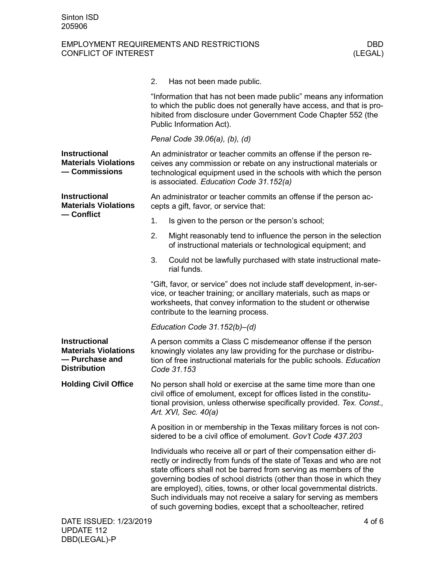|                                                                                              | 2.<br>Has not been made public.                                                                                                                                                                                                                                                                                                                                                                                                                                                                          |  |  |
|----------------------------------------------------------------------------------------------|----------------------------------------------------------------------------------------------------------------------------------------------------------------------------------------------------------------------------------------------------------------------------------------------------------------------------------------------------------------------------------------------------------------------------------------------------------------------------------------------------------|--|--|
|                                                                                              | "Information that has not been made public" means any information<br>to which the public does not generally have access, and that is pro-<br>hibited from disclosure under Government Code Chapter 552 (the<br>Public Information Act).                                                                                                                                                                                                                                                                  |  |  |
|                                                                                              | Penal Code 39.06(a), (b), (d)                                                                                                                                                                                                                                                                                                                                                                                                                                                                            |  |  |
| <b>Instructional</b><br><b>Materials Violations</b><br>- Commissions                         | An administrator or teacher commits an offense if the person re-<br>ceives any commission or rebate on any instructional materials or<br>technological equipment used in the schools with which the person<br>is associated. Education Code 31.152(a)                                                                                                                                                                                                                                                    |  |  |
| <b>Instructional</b><br><b>Materials Violations</b>                                          | An administrator or teacher commits an offense if the person ac-<br>cepts a gift, favor, or service that:                                                                                                                                                                                                                                                                                                                                                                                                |  |  |
| — Conflict                                                                                   | Is given to the person or the person's school;<br>1.                                                                                                                                                                                                                                                                                                                                                                                                                                                     |  |  |
|                                                                                              | Might reasonably tend to influence the person in the selection<br>2.<br>of instructional materials or technological equipment; and                                                                                                                                                                                                                                                                                                                                                                       |  |  |
|                                                                                              | 3.<br>Could not be lawfully purchased with state instructional mate-<br>rial funds.                                                                                                                                                                                                                                                                                                                                                                                                                      |  |  |
|                                                                                              | "Gift, favor, or service" does not include staff development, in-ser-<br>vice, or teacher training; or ancillary materials, such as maps or<br>worksheets, that convey information to the student or otherwise<br>contribute to the learning process.                                                                                                                                                                                                                                                    |  |  |
|                                                                                              | Education Code $31.152(b) - (d)$                                                                                                                                                                                                                                                                                                                                                                                                                                                                         |  |  |
| <b>Instructional</b><br><b>Materials Violations</b><br>- Purchase and<br><b>Distribution</b> | A person commits a Class C misdemeanor offense if the person<br>knowingly violates any law providing for the purchase or distribu-<br>tion of free instructional materials for the public schools. Education<br>Code 31.153                                                                                                                                                                                                                                                                              |  |  |
| <b>Holding Civil Office</b>                                                                  | No person shall hold or exercise at the same time more than one<br>civil office of emolument, except for offices listed in the constitu-<br>tional provision, unless otherwise specifically provided. Tex. Const.,<br>Art. XVI, Sec. 40(a)                                                                                                                                                                                                                                                               |  |  |
|                                                                                              | A position in or membership in the Texas military forces is not con-<br>sidered to be a civil office of emolument. Gov't Code 437.203                                                                                                                                                                                                                                                                                                                                                                    |  |  |
|                                                                                              | Individuals who receive all or part of their compensation either di-<br>rectly or indirectly from funds of the state of Texas and who are not<br>state officers shall not be barred from serving as members of the<br>governing bodies of school districts (other than those in which they<br>are employed), cities, towns, or other local governmental districts.<br>Such individuals may not receive a salary for serving as members<br>of such governing bodies, except that a schoolteacher, retired |  |  |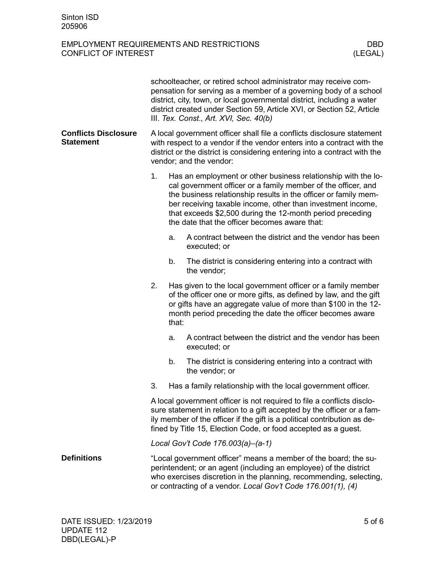|                                                 | schoolteacher, or retired school administrator may receive com-<br>pensation for serving as a member of a governing body of a school<br>district, city, town, or local governmental district, including a water<br>district created under Section 59, Article XVI, or Section 52, Article<br>III. Tex. Const., Art. XVI, Sec. 40(b) |       |                                                                                                                                                                                                                                                                                                                                                                                |  |
|-------------------------------------------------|-------------------------------------------------------------------------------------------------------------------------------------------------------------------------------------------------------------------------------------------------------------------------------------------------------------------------------------|-------|--------------------------------------------------------------------------------------------------------------------------------------------------------------------------------------------------------------------------------------------------------------------------------------------------------------------------------------------------------------------------------|--|
| <b>Conflicts Disclosure</b><br><b>Statement</b> | A local government officer shall file a conflicts disclosure statement<br>with respect to a vendor if the vendor enters into a contract with the<br>district or the district is considering entering into a contract with the<br>vendor; and the vendor:                                                                            |       |                                                                                                                                                                                                                                                                                                                                                                                |  |
|                                                 | 1.                                                                                                                                                                                                                                                                                                                                  |       | Has an employment or other business relationship with the lo-<br>cal government officer or a family member of the officer, and<br>the business relationship results in the officer or family mem-<br>ber receiving taxable income, other than investment income,<br>that exceeds \$2,500 during the 12-month period preceding<br>the date that the officer becomes aware that: |  |
|                                                 |                                                                                                                                                                                                                                                                                                                                     | a.    | A contract between the district and the vendor has been<br>executed; or                                                                                                                                                                                                                                                                                                        |  |
|                                                 |                                                                                                                                                                                                                                                                                                                                     | b.    | The district is considering entering into a contract with<br>the vendor;                                                                                                                                                                                                                                                                                                       |  |
|                                                 | 2.                                                                                                                                                                                                                                                                                                                                  | that: | Has given to the local government officer or a family member<br>of the officer one or more gifts, as defined by law, and the gift<br>or gifts have an aggregate value of more than \$100 in the 12-<br>month period preceding the date the officer becomes aware                                                                                                               |  |
|                                                 |                                                                                                                                                                                                                                                                                                                                     | a.    | A contract between the district and the vendor has been<br>executed; or                                                                                                                                                                                                                                                                                                        |  |
|                                                 |                                                                                                                                                                                                                                                                                                                                     | b.    | The district is considering entering into a contract with<br>the vendor; or                                                                                                                                                                                                                                                                                                    |  |
|                                                 | 3.                                                                                                                                                                                                                                                                                                                                  |       | Has a family relationship with the local government officer.                                                                                                                                                                                                                                                                                                                   |  |
|                                                 | A local government officer is not required to file a conflicts disclo-<br>sure statement in relation to a gift accepted by the officer or a fam-<br>ily member of the officer if the gift is a political contribution as de-<br>fined by Title 15, Election Code, or food accepted as a guest.                                      |       |                                                                                                                                                                                                                                                                                                                                                                                |  |
|                                                 |                                                                                                                                                                                                                                                                                                                                     |       | Local Gov't Code 176.003(a)-(a-1)                                                                                                                                                                                                                                                                                                                                              |  |
| <b>Definitions</b>                              | "Local government officer" means a member of the board; the su-<br>perintendent; or an agent (including an employee) of the district<br>who exercises discretion in the planning, recommending, selecting,<br>or contracting of a vendor. Local Gov't Code 176.001(1), (4)                                                          |       |                                                                                                                                                                                                                                                                                                                                                                                |  |